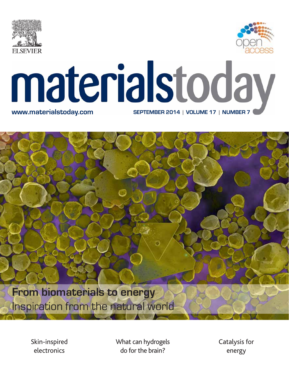



# materialstoday **www.materialstoday.com SEPTEMBER 2014 | VOLUME 17 | NUMBER 7**

**From biomaterials to energy** Inspiration from the natural world

> Skin-inspired electronics

What can hydrogels do for the brain?

Catalysis for energy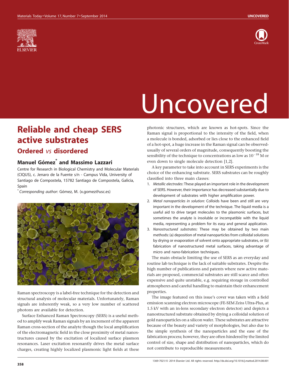



## Uncovered

### Reliable and cheap SERS active substrates

### Ordered vs disordered

#### Manuel Gómez<sup>\*</sup> and Massimo Lazzari

Centre for Research in Biological Chemistry and Molecular Materials (CIQUS), c. Jenaro de la Fuente s/n - Campus Vida, University of Santiago de Compostela, 15782 Santiago de Compostela, Galicia, Spain

\* Corresponding author: Go´mez, M. (x.gomez@usc.es)



Raman spectroscopy is a label-free technique for the detection and structural analysis of molecular materials. Unfortunately, Raman signals are inherently weak, so a very low number of scattered photons are available for detection.

Surface Enhanced Raman Spectroscopy (SERS) is a useful method to amplify weak Raman signals by an increment of the apparent Raman cross-section of the analyte though the local amplification of the electromagnetic field in the close proximity of metal nanostructures caused by the excitation of localized surface plasmon resonances. Laser excitation resonantly drives the metal surface charges, creating highly localized plasmonic light fields at these

photonic structures, which are known as hot-spots. Since the Raman signal is proportional to the intensity of the field, when a molecule is bonded, adsorbed or lies close to the enhanced field of a hot-spot, a huge increase in the Raman signal can be observedusually of several orders of magnitude, consequently boosting the sensibility of the technique to concentrations as low as  $10^{-18}$  M or even down to single molecule detection [1,2].

A key parameter to take into account in SERS experiments is the choice of the enhancing substrate. SERS substrates can be roughly classified into three main classes:

- 1. Metallic electrodes: These played an important role in the development of SERS. However, their importance has decreased substantially due to development of substrates with higher amplification power.
- 2. Metal nanoparticles in solution: Colloids have been and still are very important in the development of the technique. The liquid media is a useful aid to drive target molecules to the plasmonic surfaces, but sometimes the analyte is insoluble or incompatible with the liquid media, representing a problem for its easy and general application.
- 3. Nanostructured substrates: These may be obtained by two main methods: (a) deposition of metal nanoparticles from colloidal solutions by drying or evaporation of solvent onto appropriate substrates, or (b) fabrication of nanostructured metal surfaces, taking advantage of micro and nano-fabrication techniques.

The main obstacle limiting the use of SERS as an everyday and routine lab technique is the lack of suitable substrates. Despite the high number of publications and patents where new active materials are proposed, commercial substrates are still scarce and often expensive and quite unstable, e.g. requiring storage in controlled atmospheres and careful handling to maintain their enhancement properties.

The image featured on this issue's cover was taken with a field emission scanning electron microscope (FE-SEM Zeiss Ultra-Plus, at 1.5 kV with an in-lens secondary electron detector) and depicts a nanostructured substrate obtained by drying a colloidal solution of gold nanoparticles on a silicon wafer. These substrates are attractive because of the beauty and variety of morphologies, but also due to the simple synthesis of the nanoparticles and the ease of the fabrication process; however, they are often hindered by the limited control of size, shape and distribution of nanoparticles, which do not contribute to reproducible measurements.